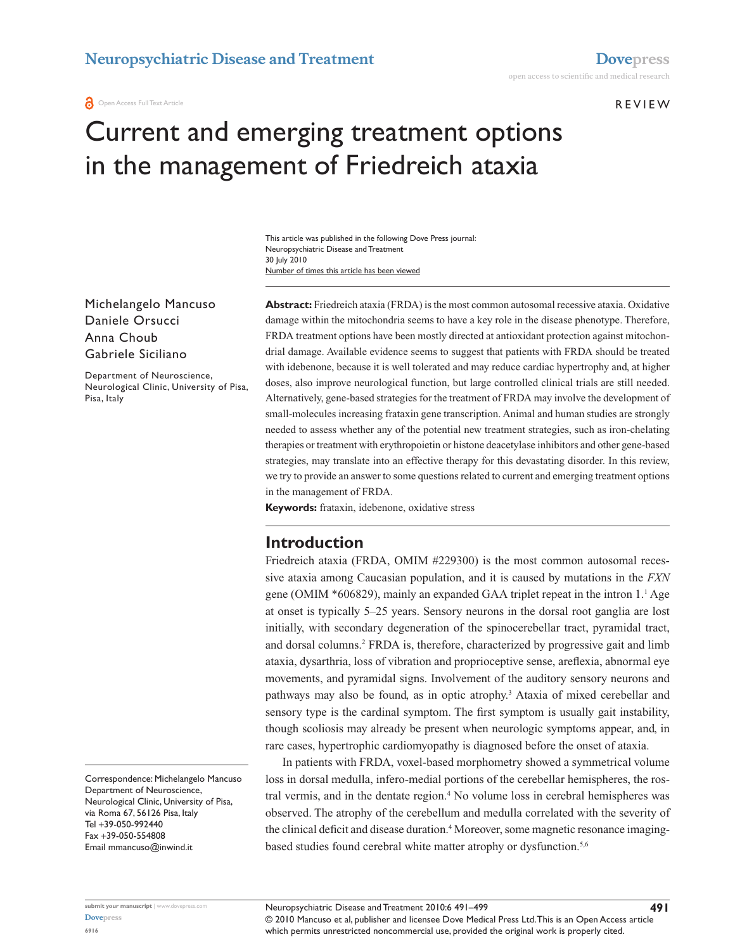#### Review

# Current and emerging treatment options in the management of Friedreich ataxia

Number of times this article has been viewed This article was published in the following Dove Press journal: Neuropsychiatric Disease and Treatment 30 July 2010

Michelangelo Mancuso Daniele Orsucci Anna Choub Gabriele Siciliano

Department of Neuroscience, Neurological Clinic, University of Pisa, Pisa, Italy

Correspondence: Michelangelo Mancuso Department of Neuroscience, Neurological Clinic, University of Pisa, via Roma 67, 56126 Pisa, Italy Tel +39-050-992440 Fax +39-050-554808 Email mmancuso@inwind.it

**Abstract:** Friedreich ataxia (FRDA) is the most common autosomal recessive ataxia. Oxidative damage within the mitochondria seems to have a key role in the disease phenotype. Therefore, FRDA treatment options have been mostly directed at antioxidant protection against mitochondrial damage. Available evidence seems to suggest that patients with FRDA should be treated with idebenone, because it is well tolerated and may reduce cardiac hypertrophy and, at higher doses, also improve neurological function, but large controlled clinical trials are still needed. Alternatively, gene-based strategies for the treatment of FRDA may involve the development of small-molecules increasing frataxin gene transcription. Animal and human studies are strongly needed to assess whether any of the potential new treatment strategies, such as iron-chelating therapies or treatment with erythropoietin or histone deacetylase inhibitors and other gene-based strategies, may translate into an effective therapy for this devastating disorder. In this review, we try to provide an answer to some questions related to current and emerging treatment options in the management of FRDA.

**Keywords:** frataxin, idebenone, oxidative stress

### **Introduction**

Friedreich ataxia (FRDA, OMIM #229300) is the most common autosomal recessive ataxia among Caucasian population, and it is caused by mutations in the *FXN* gene (OMIM \*606829), mainly an expanded GAA triplet repeat in the intron 1.<sup>1</sup> Age at onset is typically 5–25 years. Sensory neurons in the dorsal root ganglia are lost initially, with secondary degeneration of the spinocerebellar tract, pyramidal tract, and dorsal columns.2 FRDA is, therefore, characterized by progressive gait and limb ataxia, dysarthria, loss of vibration and proprioceptive sense, areflexia, abnormal eye movements, and pyramidal signs. Involvement of the auditory sensory neurons and pathways may also be found, as in optic atrophy.<sup>3</sup> Ataxia of mixed cerebellar and sensory type is the cardinal symptom. The first symptom is usually gait instability, though scoliosis may already be present when neurologic symptoms appear, and, in rare cases, hypertrophic cardiomyopathy is diagnosed before the onset of ataxia.

In patients with FRDA, voxel-based morphometry showed a symmetrical volume loss in dorsal medulla, infero-medial portions of the cerebellar hemispheres, the rostral vermis, and in the dentate region.<sup>4</sup> No volume loss in cerebral hemispheres was observed. The atrophy of the cerebellum and medulla correlated with the severity of the clinical deficit and disease duration.<sup>4</sup> Moreover, some magnetic resonance imagingbased studies found cerebral white matter atrophy or dysfunction.<sup>5,6</sup>

© 2010 Mancuso et al, publisher and licensee Dove Medical Press Ltd. This is an Open Access article which permits unrestricted noncommercial use, provided the original work is properly cited. Neuropsychiatric Disease and Treatment 2010:6 491–499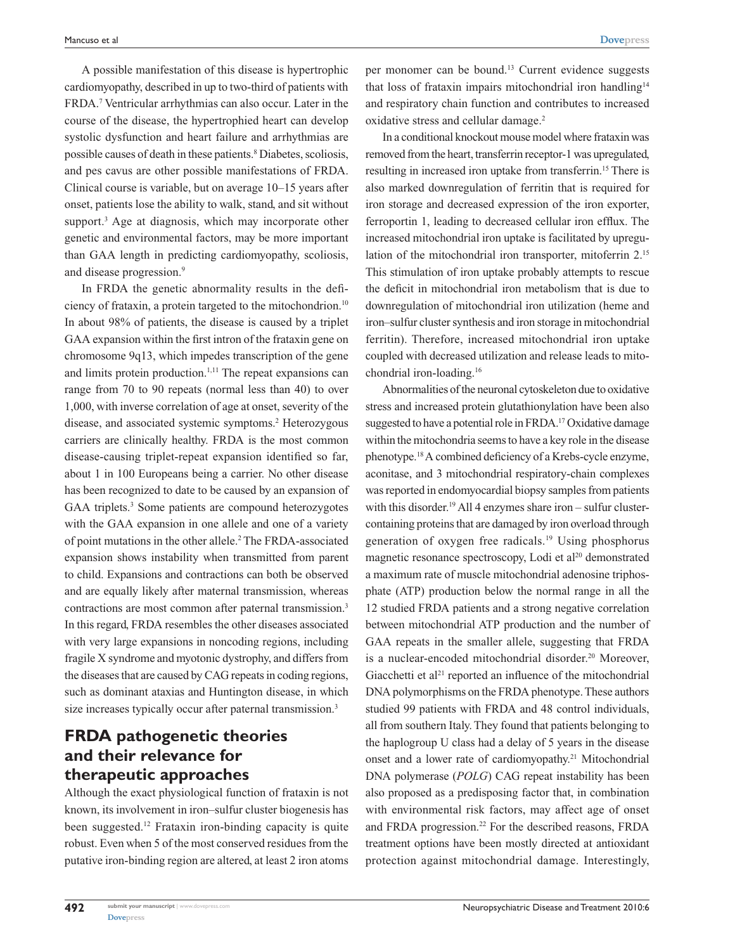A possible manifestation of this disease is hypertrophic cardiomyopathy, described in up to two-third of patients with FRDA.<sup>7</sup> Ventricular arrhythmias can also occur. Later in the course of the disease, the hypertrophied heart can develop systolic dysfunction and heart failure and arrhythmias are possible causes of death in these patients.<sup>8</sup> Diabetes, scoliosis, and pes cavus are other possible manifestations of FRDA. Clinical course is variable, but on average 10–15 years after onset, patients lose the ability to walk, stand, and sit without support.<sup>3</sup> Age at diagnosis, which may incorporate other genetic and environmental factors, may be more important than GAA length in predicting cardiomyopathy, scoliosis, and disease progression.<sup>9</sup>

In FRDA the genetic abnormality results in the deficiency of frataxin, a protein targeted to the mitochondrion.10 In about 98% of patients, the disease is caused by a triplet GAA expansion within the first intron of the frataxin gene on chromosome 9q13, which impedes transcription of the gene and limits protein production.<sup>1,11</sup> The repeat expansions can range from 70 to 90 repeats (normal less than 40) to over 1,000, with inverse correlation of age at onset, severity of the disease, and associated systemic symptoms.<sup>2</sup> Heterozygous carriers are clinically healthy. FRDA is the most common disease-causing triplet-repeat expansion identified so far, about 1 in 100 Europeans being a carrier. No other disease has been recognized to date to be caused by an expansion of GAA triplets.<sup>3</sup> Some patients are compound heterozygotes with the GAA expansion in one allele and one of a variety of point mutations in the other allele.<sup>2</sup> The FRDA-associated expansion shows instability when transmitted from parent to child. Expansions and contractions can both be observed and are equally likely after maternal transmission, whereas contractions are most common after paternal transmission.<sup>3</sup> In this regard, FRDA resembles the other diseases associated with very large expansions in noncoding regions, including fragile X syndrome and myotonic dystrophy, and differs from the diseases that are caused by CAG repeats in coding regions, such as dominant ataxias and Huntington disease, in which size increases typically occur after paternal transmission.<sup>3</sup>

## **FRDA pathogenetic theories and their relevance for therapeutic approaches**

Although the exact physiological function of frataxin is not known, its involvement in iron–sulfur cluster biogenesis has been suggested.12 Frataxin iron-binding capacity is quite robust. Even when 5 of the most conserved residues from the putative iron-binding region are altered, at least 2 iron atoms per monomer can be bound.13 Current evidence suggests that loss of frataxin impairs mitochondrial iron handling<sup>14</sup> and respiratory chain function and contributes to increased oxidative stress and cellular damage.<sup>2</sup>

In a conditional knockout mouse model where frataxin was removed from the heart, transferrin receptor-1 was upregulated, resulting in increased iron uptake from transferrin.15 There is also marked downregulation of ferritin that is required for iron storage and decreased expression of the iron exporter, ferroportin 1, leading to decreased cellular iron efflux. The increased mitochondrial iron uptake is facilitated by upregulation of the mitochondrial iron transporter, mitoferrin 2.15 This stimulation of iron uptake probably attempts to rescue the deficit in mitochondrial iron metabolism that is due to downregulation of mitochondrial iron utilization (heme and iron–sulfur cluster synthesis and iron storage in mitochondrial ferritin). Therefore, increased mitochondrial iron uptake coupled with decreased utilization and release leads to mitochondrial iron-loading.16

Abnormalities of the neuronal cytoskeleton due to oxidative stress and increased protein glutathionylation have been also suggested to have a potential role in FRDA.<sup>17</sup> Oxidative damage within the mitochondria seems to have a key role in the disease phenotype.18 A combined deficiency of a Krebs-cycle enzyme, aconitase, and 3 mitochondrial respiratory-chain complexes was reported in endomyocardial biopsy samples from patients with this disorder.<sup>19</sup> All 4 enzymes share iron – sulfur clustercontaining proteins that are damaged by iron overload through generation of oxygen free radicals.19 Using phosphorus magnetic resonance spectroscopy, Lodi et al<sup>20</sup> demonstrated a maximum rate of muscle mitochondrial adenosine triphosphate (ATP) production below the normal range in all the 12 studied FRDA patients and a strong negative correlation between mitochondrial ATP production and the number of GAA repeats in the smaller allele, suggesting that FRDA is a nuclear-encoded mitochondrial disorder.<sup>20</sup> Moreover, Giacchetti et al $2<sup>1</sup>$  reported an influence of the mitochondrial DNA polymorphisms on the FRDA phenotype. These authors studied 99 patients with FRDA and 48 control individuals, all from southern Italy. They found that patients belonging to the haplogroup U class had a delay of 5 years in the disease onset and a lower rate of cardiomyopathy.<sup>21</sup> Mitochondrial DNA polymerase (*POLG*) CAG repeat instability has been also proposed as a predisposing factor that, in combination with environmental risk factors, may affect age of onset and FRDA progression.<sup>22</sup> For the described reasons, FRDA treatment options have been mostly directed at antioxidant protection against mitochondrial damage. Interestingly,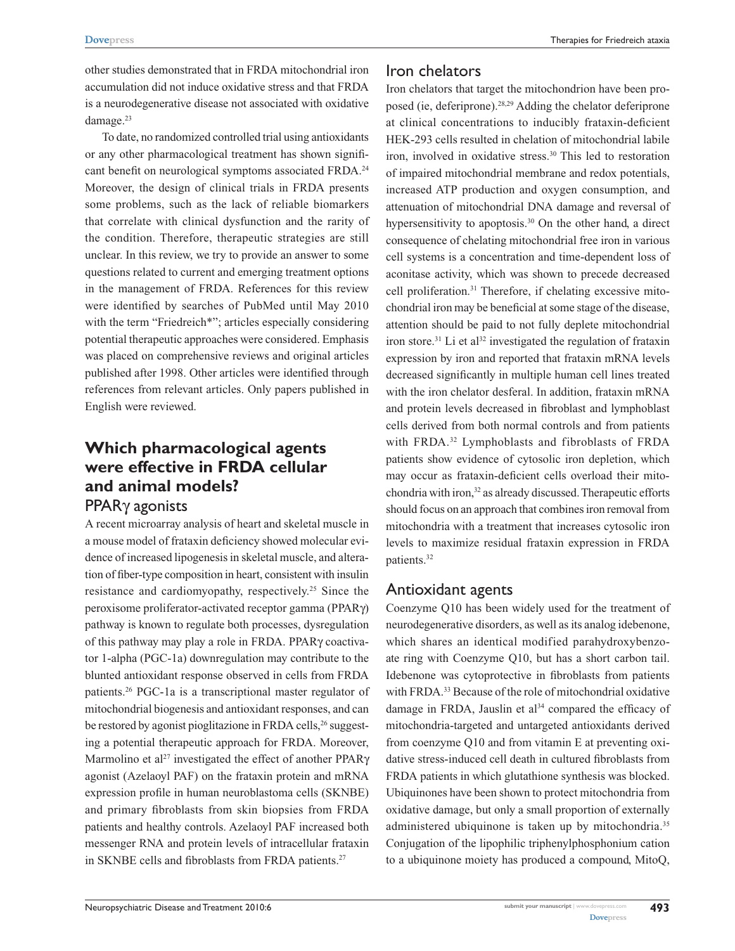other studies demonstrated that in FRDA mitochondrial iron accumulation did not induce oxidative stress and that FRDA is a neurodegenerative disease not associated with oxidative damage.<sup>23</sup>

To date, no randomized controlled trial using antioxidants or any other pharmacological treatment has shown significant benefit on neurological symptoms associated FRDA.<sup>24</sup> Moreover, the design of clinical trials in FRDA presents some problems, such as the lack of reliable biomarkers that correlate with clinical dysfunction and the rarity of the condition. Therefore, therapeutic strategies are still unclear. In this review, we try to provide an answer to some questions related to current and emerging treatment options in the management of FRDA. References for this review were identified by searches of PubMed until May 2010 with the term "Friedreich\*"; articles especially considering potential therapeutic approaches were considered. Emphasis was placed on comprehensive reviews and original articles published after 1998. Other articles were identified through references from relevant articles. Only papers published in English were reviewed.

# **Which pharmacological agents were effective in FRDA cellular and animal models?**

#### PPARγ agonists

A recent microarray analysis of heart and skeletal muscle in a mouse model of frataxin deficiency showed molecular evidence of increased lipogenesis in skeletal muscle, and alteration of fiber-type composition in heart, consistent with insulin resistance and cardiomyopathy, respectively.<sup>25</sup> Since the peroxisome proliferator-activated receptor gamma (PPARγ) pathway is known to regulate both processes, dysregulation of this pathway may play a role in FRDA. PPARγ coactivator 1-alpha (PGC-1a) downregulation may contribute to the blunted antioxidant response observed in cells from FRDA patients.26 PGC-1a is a transcriptional master regulator of mitochondrial biogenesis and antioxidant responses, and can be restored by agonist pioglitazione in FRDA cells,<sup>26</sup> suggesting a potential therapeutic approach for FRDA. Moreover, Marmolino et al<sup>27</sup> investigated the effect of another PPARγ agonist (Azelaoyl PAF) on the frataxin protein and mRNA expression profile in human neuroblastoma cells (SKNBE) and primary fibroblasts from skin biopsies from FRDA patients and healthy controls. Azelaoyl PAF increased both messenger RNA and protein levels of intracellular frataxin in SKNBE cells and fibroblasts from FRDA patients.<sup>27</sup>

#### Iron chelators

Iron chelators that target the mitochondrion have been proposed (ie, deferiprone).<sup>28,29</sup> Adding the chelator deferiprone at clinical concentrations to inducibly frataxin-deficient HEK-293 cells resulted in chelation of mitochondrial labile iron, involved in oxidative stress.30 This led to restoration of impaired mitochondrial membrane and redox potentials, increased ATP production and oxygen consumption, and attenuation of mitochondrial DNA damage and reversal of hypersensitivity to apoptosis.<sup>30</sup> On the other hand, a direct consequence of chelating mitochondrial free iron in various cell systems is a concentration and time-dependent loss of aconitase activity, which was shown to precede decreased cell proliferation.<sup>31</sup> Therefore, if chelating excessive mitochondrial iron may be beneficial at some stage of the disease, attention should be paid to not fully deplete mitochondrial iron store.<sup>31</sup> Li et al<sup>32</sup> investigated the regulation of frataxin expression by iron and reported that frataxin mRNA levels decreased significantly in multiple human cell lines treated with the iron chelator desferal. In addition, frataxin mRNA and protein levels decreased in fibroblast and lymphoblast cells derived from both normal controls and from patients with FRDA.<sup>32</sup> Lymphoblasts and fibroblasts of FRDA patients show evidence of cytosolic iron depletion, which may occur as frataxin-deficient cells overload their mitochondria with iron,<sup>32</sup> as already discussed. Therapeutic efforts should focus on an approach that combines iron removal from mitochondria with a treatment that increases cytosolic iron levels to maximize residual frataxin expression in FRDA patients.32

#### Antioxidant agents

Coenzyme Q10 has been widely used for the treatment of neurodegenerative disorders, as well as its analog idebenone, which shares an identical modified parahydroxybenzoate ring with Coenzyme Q10, but has a short carbon tail. Idebenone was cytoprotective in fibroblasts from patients with FRDA.<sup>33</sup> Because of the role of mitochondrial oxidative damage in FRDA, Jauslin et  $al<sup>34</sup>$  compared the efficacy of mitochondria-targeted and untargeted antioxidants derived from coenzyme Q10 and from vitamin E at preventing oxidative stress-induced cell death in cultured fibroblasts from FRDA patients in which glutathione synthesis was blocked. Ubiquinones have been shown to protect mitochondria from oxidative damage, but only a small proportion of externally administered ubiquinone is taken up by mitochondria.<sup>35</sup> Conjugation of the lipophilic triphenylphosphonium cation to a ubiquinone moiety has produced a compound, MitoQ,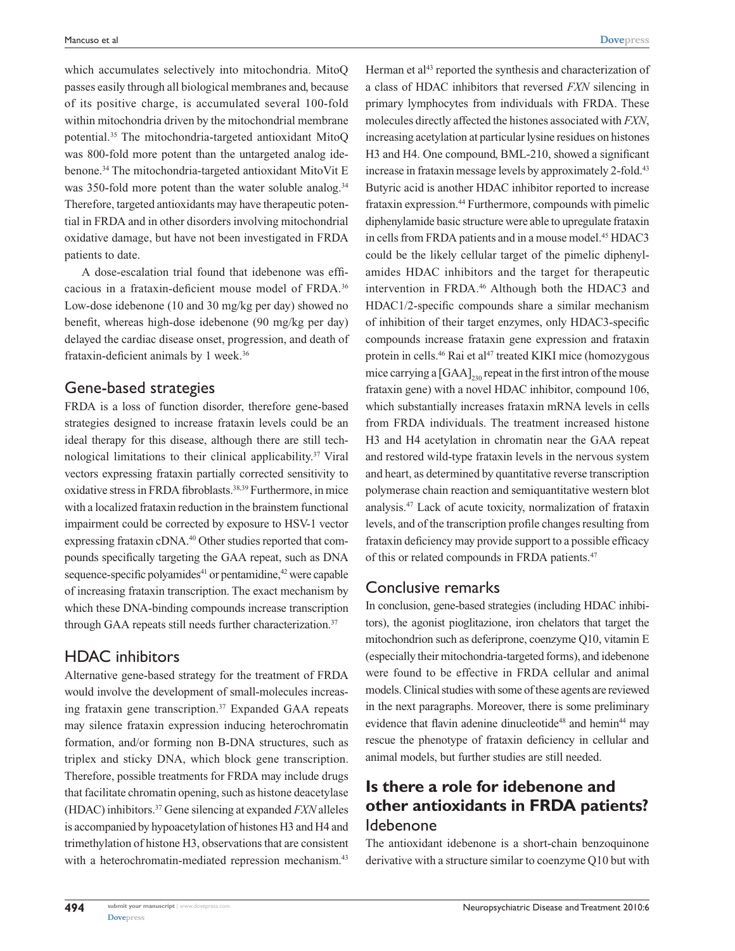which accumulates selectively into mitochondria. MitoQ passes easily through all biological membranes and, because of its positive charge, is accumulated several 100-fold within mitochondria driven by the mitochondrial membrane potential.35 The mitochondria-targeted antioxidant MitoQ was 800-fold more potent than the untargeted analog idebenone.34 The mitochondria-targeted antioxidant MitoVit E was 350-fold more potent than the water soluble analog.<sup>34</sup> Therefore, targeted antioxidants may have therapeutic potential in FRDA and in other disorders involving mitochondrial oxidative damage, but have not been investigated in FRDA patients to date.

A dose-escalation trial found that idebenone was efficacious in a frataxin-deficient mouse model of FRDA.36 Low-dose idebenone (10 and 30 mg/kg per day) showed no benefit, whereas high-dose idebenone (90 mg/kg per day) delayed the cardiac disease onset, progression, and death of frataxin-deficient animals by 1 week.36

## Gene-based strategies

FRDA is a loss of function disorder, therefore gene-based strategies designed to increase frataxin levels could be an ideal therapy for this disease, although there are still technological limitations to their clinical applicability.37 Viral vectors expressing frataxin partially corrected sensitivity to oxidative stress in FRDA fibroblasts.<sup>38,39</sup> Furthermore, in mice with a localized frataxin reduction in the brainstem functional impairment could be corrected by exposure to HSV-1 vector expressing frataxin cDNA.<sup>40</sup> Other studies reported that compounds specifically targeting the GAA repeat, such as DNA sequence-specific polyamides<sup>41</sup> or pentamidine,<sup>42</sup> were capable of increasing frataxin transcription. The exact mechanism by which these DNA-binding compounds increase transcription through GAA repeats still needs further characterization.<sup>37</sup>

#### HDAC inhibitors

Alternative gene-based strategy for the treatment of FRDA would involve the development of small-molecules increasing frataxin gene transcription.<sup>37</sup> Expanded GAA repeats may silence frataxin expression inducing heterochromatin formation, and/or forming non B-DNA structures, such as triplex and sticky DNA, which block gene transcription. Therefore, possible treatments for FRDA may include drugs that facilitate chromatin opening, such as histone deacetylase (HDAC) inhibitors.37 Gene silencing at expanded *FXN* alleles is accompanied by hypoacetylation of histones H3 and H4 and trimethylation of histone H3, observations that are consistent with a heterochromatin-mediated repression mechanism.<sup>43</sup>

Herman et al<sup>43</sup> reported the synthesis and characterization of a class of HDAC inhibitors that reversed *FXN* silencing in primary lymphocytes from individuals with FRDA. These molecules directly affected the histones associated with *FXN*, increasing acetylation at particular lysine residues on histones H3 and H4. One compound, BML-210, showed a significant increase in frataxin message levels by approximately 2-fold.<sup>43</sup> Butyric acid is another HDAC inhibitor reported to increase frataxin expression.<sup>44</sup> Furthermore, compounds with pimelic diphenylamide basic structure were able to upregulate frataxin in cells from FRDA patients and in a mouse model.<sup>45</sup> HDAC3 could be the likely cellular target of the pimelic diphenylamides HDAC inhibitors and the target for therapeutic intervention in FRDA.<sup>46</sup> Although both the HDAC3 and HDAC1/2-specific compounds share a similar mechanism of inhibition of their target enzymes, only HDAC3-specific compounds increase frataxin gene expression and frataxin protein in cells.<sup>46</sup> Rai et al<sup>47</sup> treated KIKI mice (homozygous mice carrying a  $[GAA]_{230}$  repeat in the first intron of the mouse frataxin gene) with a novel HDAC inhibitor, compound 106, which substantially increases frataxin mRNA levels in cells from FRDA individuals. The treatment increased histone H3 and H4 acetylation in chromatin near the GAA repeat and restored wild-type frataxin levels in the nervous system and heart, as determined by quantitative reverse transcription polymerase chain reaction and semiquantitative western blot analysis.47 Lack of acute toxicity, normalization of frataxin levels, and of the transcription profile changes resulting from frataxin deficiency may provide support to a possible efficacy of this or related compounds in FRDA patients.47

#### Conclusive remarks

In conclusion, gene-based strategies (including HDAC inhibitors), the agonist pioglitazione, iron chelators that target the mitochondrion such as deferiprone, coenzyme Q10, vitamin E (especially their mitochondria-targeted forms), and idebenone were found to be effective in FRDA cellular and animal models. Clinical studies with some of these agents are reviewed in the next paragraphs. Moreover, there is some preliminary evidence that flavin adenine dinucleotide<sup>48</sup> and hemin<sup>44</sup> may rescue the phenotype of frataxin deficiency in cellular and animal models, but further studies are still needed.

## **Is there a role for idebenone and other antioxidants in FRDA patients?** Idebenone

The antioxidant idebenone is a short-chain benzoquinone derivative with a structure similar to coenzyme Q10 but with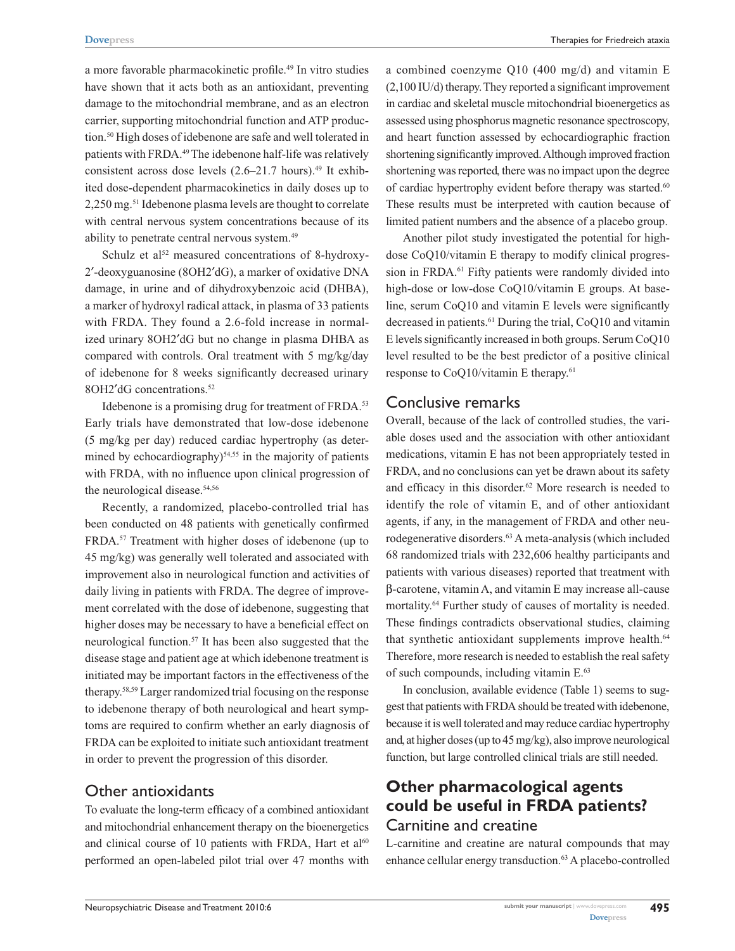a more favorable pharmacokinetic profile.<sup>49</sup> In vitro studies have shown that it acts both as an antioxidant, preventing damage to the mitochondrial membrane, and as an electron carrier, supporting mitochondrial function and ATP production.50 High doses of idebenone are safe and well tolerated in patients with FRDA.<sup>49</sup> The idebenone half-life was relatively consistent across dose levels  $(2.6-21.7 \text{ hours})$ .<sup>49</sup> It exhibited dose-dependent pharmacokinetics in daily doses up to 2,250 mg.<sup>51</sup> Idebenone plasma levels are thought to correlate with central nervous system concentrations because of its ability to penetrate central nervous system.<sup>49</sup>

Schulz et al<sup>52</sup> measured concentrations of 8-hydroxy-2′-deoxyguanosine (8OH2′dG), a marker of oxidative DNA damage, in urine and of dihydroxybenzoic acid (DHBA), a marker of hydroxyl radical attack, in plasma of 33 patients with FRDA. They found a 2.6-fold increase in normalized urinary 8OH2′dG but no change in plasma DHBA as compared with controls. Oral treatment with 5 mg/kg/day of idebenone for 8 weeks significantly decreased urinary 8OH2′dG concentrations.52

Idebenone is a promising drug for treatment of FRDA.<sup>53</sup> Early trials have demonstrated that low-dose idebenone (5 mg/kg per day) reduced cardiac hypertrophy (as determined by echocardiography) $54,55$  in the majority of patients with FRDA, with no influence upon clinical progression of the neurological disease.<sup>54,56</sup>

Recently, a randomized, placebo-controlled trial has been conducted on 48 patients with genetically confirmed FRDA.57 Treatment with higher doses of idebenone (up to 45 mg/kg) was generally well tolerated and associated with improvement also in neurological function and activities of daily living in patients with FRDA. The degree of improvement correlated with the dose of idebenone, suggesting that higher doses may be necessary to have a beneficial effect on neurological function.57 It has been also suggested that the disease stage and patient age at which idebenone treatment is initiated may be important factors in the effectiveness of the therapy.58,59 Larger randomized trial focusing on the response to idebenone therapy of both neurological and heart symptoms are required to confirm whether an early diagnosis of FRDA can be exploited to initiate such antioxidant treatment in order to prevent the progression of this disorder.

#### Other antioxidants

To evaluate the long-term efficacy of a combined antioxidant and mitochondrial enhancement therapy on the bioenergetics and clinical course of 10 patients with FRDA, Hart et  $al^{60}$ performed an open-labeled pilot trial over 47 months with a combined coenzyme Q10 (400 mg/d) and vitamin E (2,100 IU/d) therapy. They reported a significant improvement in cardiac and skeletal muscle mitochondrial bioenergetics as assessed using phosphorus magnetic resonance spectroscopy, and heart function assessed by echocardiographic fraction shortening significantly improved. Although improved fraction shortening was reported, there was no impact upon the degree of cardiac hypertrophy evident before therapy was started.<sup>60</sup> These results must be interpreted with caution because of limited patient numbers and the absence of a placebo group.

Another pilot study investigated the potential for highdose CoQ10/vitamin E therapy to modify clinical progression in FRDA.<sup>61</sup> Fifty patients were randomly divided into high-dose or low-dose CoQ10/vitamin E groups. At baseline, serum CoQ10 and vitamin E levels were significantly decreased in patients.61 During the trial, CoQ10 and vitamin E levels significantly increased in both groups. Serum CoQ10 level resulted to be the best predictor of a positive clinical response to CoO10/vitamin E therapy.<sup>61</sup>

#### Conclusive remarks

Overall, because of the lack of controlled studies, the variable doses used and the association with other antioxidant medications, vitamin E has not been appropriately tested in FRDA, and no conclusions can yet be drawn about its safety and efficacy in this disorder.<sup>62</sup> More research is needed to identify the role of vitamin E, and of other antioxidant agents, if any, in the management of FRDA and other neurodegenerative disorders.63 A meta-analysis (which included 68 randomized trials with 232,606 healthy participants and patients with various diseases) reported that treatment with β-carotene, vitamin A, and vitamin E may increase all-cause mortality.<sup>64</sup> Further study of causes of mortality is needed. These findings contradicts observational studies, claiming that synthetic antioxidant supplements improve health.<sup>64</sup> Therefore, more research is needed to establish the real safety of such compounds, including vitamin E.<sup>63</sup>

In conclusion, available evidence (Table 1) seems to suggest that patients with FRDA should be treated with idebenone, because it is well tolerated and may reduce cardiac hypertrophy and, at higher doses (up to 45 mg/kg), also improve neurological function, but large controlled clinical trials are still needed.

## **Other pharmacological agents could be useful in FRDA patients?** Carnitine and creatine

L-carnitine and creatine are natural compounds that may enhance cellular energy transduction.63 A placebo-controlled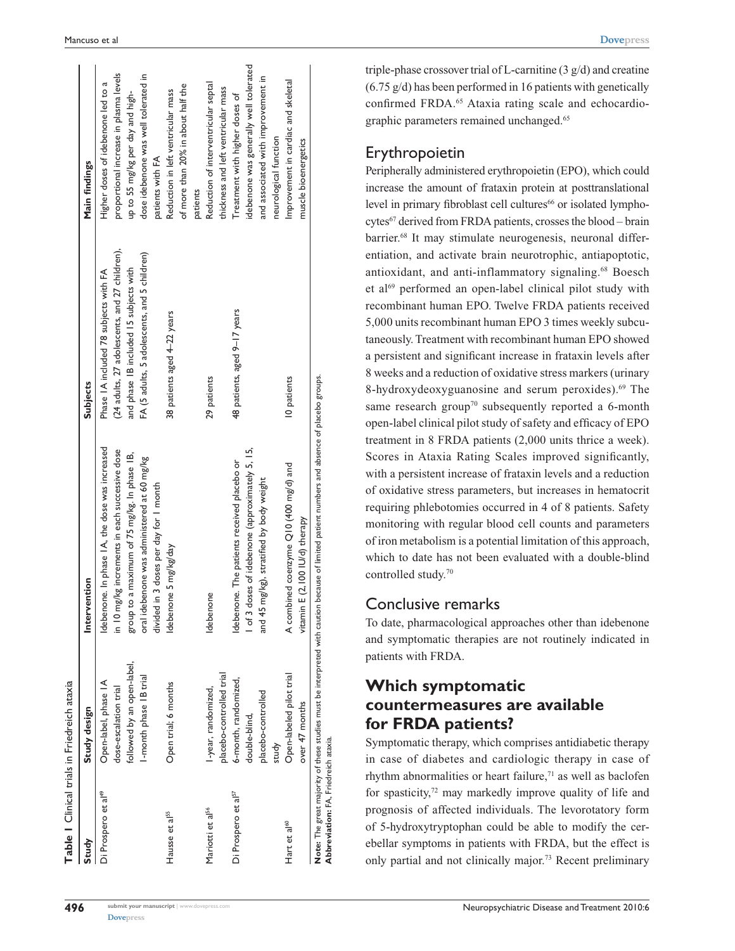|                                      | Table I Clinical trials in Friedreich ataxia  |                                                                                                                                                     |                                                                                        |                                                                              |
|--------------------------------------|-----------------------------------------------|-----------------------------------------------------------------------------------------------------------------------------------------------------|----------------------------------------------------------------------------------------|------------------------------------------------------------------------------|
| Study                                | Study design                                  | Intervention                                                                                                                                        | <b>Subjects</b>                                                                        | Main findings                                                                |
| Di Prospero et al <sup>49</sup>      | Open-label, phase IA<br>dose-escalation trial | Idebenone. In phase IA, the dose was increased<br>in 10 mg/kg increments in each successive dose                                                    | (24 adults, 27 adolescents, and 27 children),<br>Phase IA included 78 subjects with FA | proportional increase in plasma levels<br>Higher doses of idebenone led to a |
|                                      | followed by an open-label,                    | group to a maximum of 75 mg/kg. In phase 1B,                                                                                                        | and phase IB included IS subjects with                                                 | up to 55 mg/kg per day and high-                                             |
|                                      | I-month phase IB trial                        | oral idebenone was administered at 60 mg/kg                                                                                                         | FA (5 adults, 5 adolescents, and 5 children)                                           | dose idebenone was well tolerated in                                         |
|                                      |                                               | divided in 3 doses per day for I month                                                                                                              |                                                                                        | patients with FA                                                             |
| Hausse et al <sup>55</sup>           | Open trial; 6 months                          | Idebenone 5 mg/kg/day                                                                                                                               | 38 patients aged 4-22 years                                                            | Reduction in left ventricular mass                                           |
|                                      |                                               |                                                                                                                                                     |                                                                                        | of more than 20% in about half the                                           |
|                                      |                                               |                                                                                                                                                     |                                                                                        | patients                                                                     |
| Mariotti et al <sup>56</sup>         | l-year, randomized,                           | Idebenone                                                                                                                                           | 29 patients                                                                            | Reduction of interventricular septal                                         |
|                                      | placebo-controlled trial                      |                                                                                                                                                     |                                                                                        | thickness and left ventricular mass                                          |
| Di Prospero et al <sup>57</sup>      | 6-month, randomized,                          | Idebenone. The patients received placebo or                                                                                                         | 48 patients, aged 9-17 years                                                           | Treatment with higher doses of                                               |
|                                      | double-blind,                                 | I of 3 doses of idebenone (approximately 5, 15,                                                                                                     |                                                                                        | idebenone was generally well tolerated                                       |
|                                      | placebo-controlled                            | and 45 mg/kg), stratified by body weight                                                                                                            |                                                                                        | and associated with improvement in                                           |
|                                      | study                                         |                                                                                                                                                     |                                                                                        | neurological function                                                        |
| Hart et al <sup>60</sup>             | Open-labeled pilot trial                      | A combined coenzyme Q10 (400 mg/d) and                                                                                                              | 10 patients                                                                            | Improvement in cardiac and skeletal                                          |
|                                      | over 47 months                                | vitamin E (2,100 IU/d) therapy                                                                                                                      |                                                                                        | muscle bioenergetics                                                         |
| Abbreviation: FA, Friedreich ataxia. |                                               | <b>Note:</b> The great majority of these studies must be interpreted with caution because of limited patient numbers and absence of placebo groups. |                                                                                        |                                                                              |

triple-phase crossover trial of L-carnitine  $(3 \text{ g/d})$  and creatine  $(6.75 \text{ g/d})$  has been performed in 16 patients with genetically confirmed FRDA.65 Ataxia rating scale and echocardiographic parameters remained unchanged.65

## Erythropoietin

Peripherally administered erythropoietin (EPO), which could increase the amount of frataxin protein at posttranslational level in primary fibroblast cell cultures<sup>66</sup> or isolated lympho- $\text{cytes}^{67}$  derived from FRDA patients, crosses the blood – brain barrier.68 It may stimulate neurogenesis, neuronal differentiation, and activate brain neurotrophic, antiapoptotic, antioxidant, and anti-inflammatory signaling.<sup>68</sup> Boesch et al<sup>69</sup> performed an open-label clinical pilot study with recombinant human EPO. Twelve FRDA patients received 5,000 units recombinant human EPO 3 times weekly subcutaneously. Treatment with recombinant human EPO showed a persistent and significant increase in frataxin levels after 8 weeks and a reduction of oxidative stress markers (urinary 8-hydroxydeoxyguanosine and serum peroxides).<sup>69</sup> The same research group<sup>70</sup> subsequently reported a 6-month open-label clinical pilot study of safety and efficacy of EPO treatment in 8 FRDA patients (2,000 units thrice a week). Scores in Ataxia Rating Scales improved significantly, with a persistent increase of frataxin levels and a reduction of oxidative stress parameters, but increases in hematocrit requiring phlebotomies occurred in 4 of 8 patients. Safety monitoring with regular blood cell counts and parameters of iron metabolism is a potential limitation of this approach, which to date has not been evaluated with a double-blind controlled study.70

## Conclusive remarks

To date, pharmacological approaches other than idebenone and symptomatic therapies are not routinely indicated in patients with FRDA.

## **Which symptomatic countermeasures are available for FRDA patients?**

Symptomatic therapy, which comprises antidiabetic therapy in case of diabetes and cardiologic therapy in case of rhythm abnormalities or heart failure, $71$  as well as baclofen for spasticity,72 may markedly improve quality of life and prognosis of affected individuals. The levorotatory form of 5-hydroxytryptophan could be able to modify the cerebellar symptoms in patients with FRDA, but the effect is only partial and not clinically major.73 Recent preliminary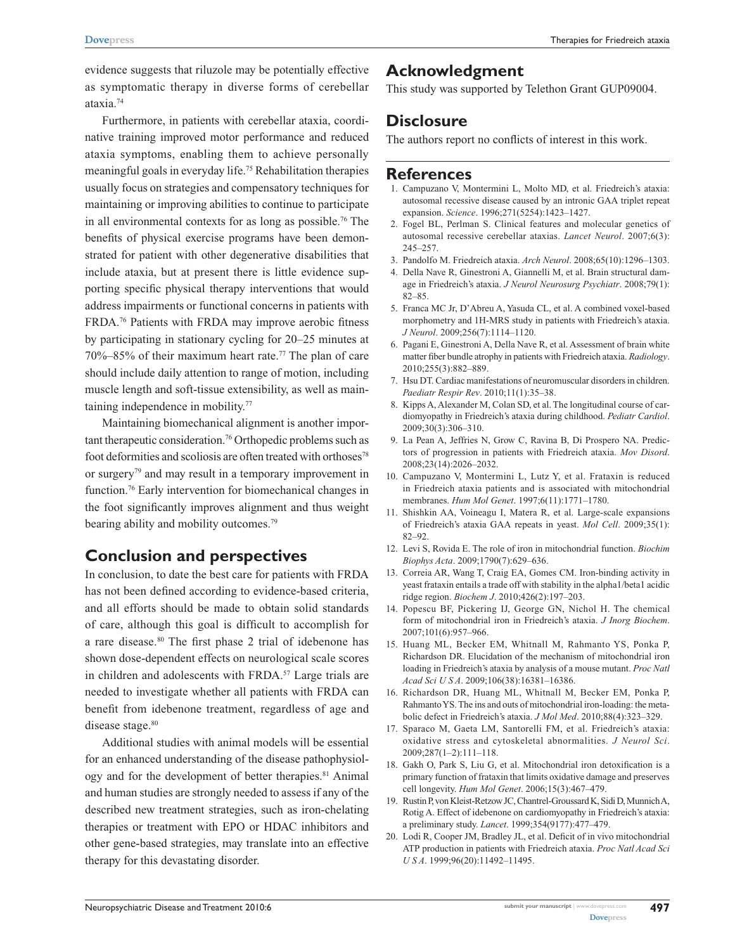evidence suggests that riluzole may be potentially effective as symptomatic therapy in diverse forms of cerebellar ataxia.74

Furthermore, in patients with cerebellar ataxia, coordinative training improved motor performance and reduced ataxia symptoms, enabling them to achieve personally meaningful goals in everyday life.75 Rehabilitation therapies usually focus on strategies and compensatory techniques for maintaining or improving abilities to continue to participate in all environmental contexts for as long as possible.<sup>76</sup> The benefits of physical exercise programs have been demonstrated for patient with other degenerative disabilities that include ataxia, but at present there is little evidence supporting specific physical therapy interventions that would address impairments or functional concerns in patients with FRDA.76 Patients with FRDA may improve aerobic fitness by participating in stationary cycling for 20–25 minutes at 70%–85% of their maximum heart rate.77 The plan of care should include daily attention to range of motion, including muscle length and soft-tissue extensibility, as well as maintaining independence in mobility.77

Maintaining biomechanical alignment is another important therapeutic consideration.76 Orthopedic problems such as foot deformities and scoliosis are often treated with orthoses<sup>78</sup> or surgery79 and may result in a temporary improvement in function.76 Early intervention for biomechanical changes in the foot significantly improves alignment and thus weight bearing ability and mobility outcomes.<sup>79</sup>

## **Conclusion and perspectives**

In conclusion, to date the best care for patients with FRDA has not been defined according to evidence-based criteria, and all efforts should be made to obtain solid standards of care, although this goal is difficult to accomplish for a rare disease.<sup>80</sup> The first phase 2 trial of idebenone has shown dose-dependent effects on neurological scale scores in children and adolescents with FRDA.<sup>57</sup> Large trials are needed to investigate whether all patients with FRDA can benefit from idebenone treatment, regardless of age and disease stage.<sup>80</sup>

Additional studies with animal models will be essential for an enhanced understanding of the disease pathophysiology and for the development of better therapies.<sup>81</sup> Animal and human studies are strongly needed to assess if any of the described new treatment strategies, such as iron-chelating therapies or treatment with EPO or HDAC inhibitors and other gene-based strategies, may translate into an effective therapy for this devastating disorder.

## **Acknowledgment**

This study was supported by Telethon Grant GUP09004.

## **Disclosure**

The authors report no conflicts of interest in this work.

#### **References**

- 1. Campuzano V, Montermini L, Molto MD, et al. Friedreich's ataxia: autosomal recessive disease caused by an intronic GAA triplet repeat expansion. *Science*. 1996;271(5254):1423–1427.
- 2. Fogel BL, Perlman S. Clinical features and molecular genetics of autosomal recessive cerebellar ataxias. *Lancet Neurol*. 2007;6(3): 245–257.
- 3. Pandolfo M. Friedreich ataxia. *Arch Neurol*. 2008;65(10):1296–1303.
- 4. Della Nave R, Ginestroni A, Giannelli M, et al. Brain structural damage in Friedreich's ataxia. *J Neurol Neurosurg Psychiatr*. 2008;79(1): 82–85.
- 5. Franca MC Jr, D'Abreu A, Yasuda CL, et al. A combined voxel-based morphometry and 1H-MRS study in patients with Friedreich's ataxia. *J Neurol*. 2009;256(7):1114–1120.
- 6. Pagani E, Ginestroni A, Della Nave R, et al. Assessment of brain white matter fiber bundle atrophy in patients with Friedreich ataxia. *Radiology*. 2010;255(3):882–889.
- 7. Hsu DT. Cardiac manifestations of neuromuscular disorders in children. *Paediatr Respir Rev*. 2010;11(1):35–38.
- 8. Kipps A, Alexander M, Colan SD, et al. The longitudinal course of cardiomyopathy in Friedreich's ataxia during childhood. *Pediatr Cardiol*. 2009;30(3):306–310.
- 9. La Pean A, Jeffries N, Grow C, Ravina B, Di Prospero NA. Predictors of progression in patients with Friedreich ataxia. *Mov Disord*. 2008;23(14):2026–2032.
- 10. Campuzano V, Montermini L, Lutz Y, et al. Frataxin is reduced in Friedreich ataxia patients and is associated with mitochondrial membranes. *Hum Mol Genet*. 1997;6(11):1771–1780.
- 11. Shishkin AA, Voineagu I, Matera R, et al. Large-scale expansions of Friedreich's ataxia GAA repeats in yeast. *Mol Cell*. 2009;35(1): 82–92.
- 12. Levi S, Rovida E. The role of iron in mitochondrial function. *Biochim Biophys Acta*. 2009;1790(7):629–636.
- 13. Correia AR, Wang T, Craig EA, Gomes CM. Iron-binding activity in yeast frataxin entails a trade off with stability in the alpha1/beta1 acidic ridge region. *Biochem J*. 2010;426(2):197–203.
- 14. Popescu BF, Pickering IJ, George GN, Nichol H. The chemical form of mitochondrial iron in Friedreich's ataxia. *J Inorg Biochem*. 2007;101(6):957–966.
- 15. Huang ML, Becker EM, Whitnall M, Rahmanto YS, Ponka P, Richardson DR. Elucidation of the mechanism of mitochondrial iron loading in Friedreich's ataxia by analysis of a mouse mutant. *Proc Natl Acad Sci U S A*. 2009;106(38):16381–16386.
- 16. Richardson DR, Huang ML, Whitnall M, Becker EM, Ponka P, Rahmanto YS. The ins and outs of mitochondrial iron-loading: the metabolic defect in Friedreich's ataxia. *J Mol Med*. 2010;88(4):323–329.
- 17. Sparaco M, Gaeta LM, Santorelli FM, et al. Friedreich's ataxia: oxidative stress and cytoskeletal abnormalities. *J Neurol Sci*. 2009;287(1–2):111–118.
- 18. Gakh O, Park S, Liu G, et al. Mitochondrial iron detoxification is a primary function of frataxin that limits oxidative damage and preserves cell longevity. *Hum Mol Genet*. 2006;15(3):467–479.
- 19. Rustin P, von Kleist-Retzow JC, Chantrel-Groussard K, Sidi D, MunnichA, Rotig A. Effect of idebenone on cardiomyopathy in Friedreich's ataxia: a preliminary study. *Lancet*. 1999;354(9177):477–479.
- 20. Lodi R, Cooper JM, Bradley JL, et al. Deficit of in vivo mitochondrial ATP production in patients with Friedreich ataxia. *Proc Natl Acad Sci U S A*. 1999;96(20):11492–11495.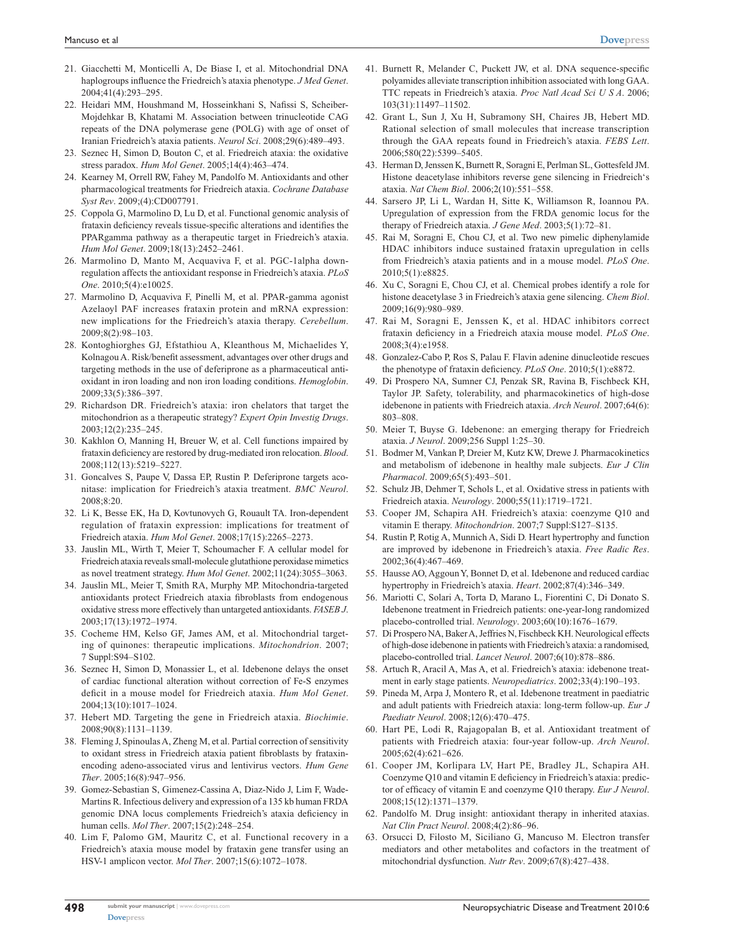- 21. Giacchetti M, Monticelli A, De Biase I, et al. Mitochondrial DNA haplogroups influence the Friedreich's ataxia phenotype. *J Med Genet*. 2004;41(4):293–295.
- 22. Heidari MM, Houshmand M, Hosseinkhani S, Nafissi S, Scheiber-Mojdehkar B, Khatami M. Association between trinucleotide CAG repeats of the DNA polymerase gene (POLG) with age of onset of Iranian Friedreich's ataxia patients. *Neurol Sci*. 2008;29(6):489–493.
- 23. Seznec H, Simon D, Bouton C, et al. Friedreich ataxia: the oxidative stress paradox. *Hum Mol Genet*. 2005;14(4):463–474.
- 24. Kearney M, Orrell RW, Fahey M, Pandolfo M. Antioxidants and other pharmacological treatments for Friedreich ataxia. *Cochrane Database Syst Rev*. 2009;(4):CD007791.
- 25. Coppola G, Marmolino D, Lu D, et al. Functional genomic analysis of frataxin deficiency reveals tissue-specific alterations and identifies the PPARgamma pathway as a therapeutic target in Friedreich's ataxia. *Hum Mol Genet*. 2009;18(13):2452–2461.
- 26. Marmolino D, Manto M, Acquaviva F, et al. PGC-1alpha downregulation affects the antioxidant response in Friedreich's ataxia. *PLoS One*. 2010;5(4):e10025.
- 27. Marmolino D, Acquaviva F, Pinelli M, et al. PPAR-gamma agonist Azelaoyl PAF increases frataxin protein and mRNA expression: new implications for the Friedreich's ataxia therapy. *Cerebellum*. 2009;8(2):98–103.
- 28. Kontoghiorghes GJ, Efstathiou A, Kleanthous M, Michaelides Y, Kolnagou A. Risk/benefit assessment, advantages over other drugs and targeting methods in the use of deferiprone as a pharmaceutical antioxidant in iron loading and non iron loading conditions. *Hemoglobin*. 2009;33(5):386–397.
- 29. Richardson DR. Friedreich's ataxia: iron chelators that target the mitochondrion as a therapeutic strategy? *Expert Opin Investig Drugs*. 2003;12(2):235–245.
- 30. Kakhlon O, Manning H, Breuer W, et al. Cell functions impaired by frataxin deficiency are restored by drug-mediated iron relocation. *Blood*. 2008;112(13):5219–5227.
- 31. Goncalves S, Paupe V, Dassa EP, Rustin P. Deferiprone targets aconitase: implication for Friedreich's ataxia treatment. *BMC Neurol*. 2008;8:20.
- 32. Li K, Besse EK, Ha D, Kovtunovych G, Rouault TA. Iron-dependent regulation of frataxin expression: implications for treatment of Friedreich ataxia. *Hum Mol Genet*. 2008;17(15):2265–2273.
- 33. Jauslin ML, Wirth T, Meier T, Schoumacher F. A cellular model for Friedreich ataxia reveals small-molecule glutathione peroxidase mimetics as novel treatment strategy. *Hum Mol Genet*. 2002;11(24):3055–3063.
- 34. Jauslin ML, Meier T, Smith RA, Murphy MP. Mitochondria-targeted antioxidants protect Friedreich ataxia fibroblasts from endogenous oxidative stress more effectively than untargeted antioxidants. *FASEB J*. 2003;17(13):1972–1974.
- 35. Cocheme HM, Kelso GF, James AM, et al. Mitochondrial targeting of quinones: therapeutic implications. *Mitochondrion*. 2007; 7 Suppl:S94–S102.
- 36. Seznec H, Simon D, Monassier L, et al. Idebenone delays the onset of cardiac functional alteration without correction of Fe-S enzymes deficit in a mouse model for Friedreich ataxia. *Hum Mol Genet*. 2004;13(10):1017–1024.
- 37. Hebert MD. Targeting the gene in Friedreich ataxia. *Biochimie*. 2008;90(8):1131–1139.
- 38. Fleming J, Spinoulas A, Zheng M, et al. Partial correction of sensitivity to oxidant stress in Friedreich ataxia patient fibroblasts by frataxinencoding adeno-associated virus and lentivirus vectors. *Hum Gene Ther*. 2005;16(8):947–956.
- 39. Gomez-Sebastian S, Gimenez-Cassina A, Diaz-Nido J, Lim F, Wade-Martins R. Infectious delivery and expression of a 135 kb human FRDA genomic DNA locus complements Friedreich's ataxia deficiency in human cells. *Mol Ther*. 2007;15(2):248–254.
- 40. Lim F, Palomo GM, Mauritz C, et al. Functional recovery in a Friedreich's ataxia mouse model by frataxin gene transfer using an HSV-1 amplicon vector. *Mol Ther*. 2007;15(6):1072–1078.
- 41. Burnett R, Melander C, Puckett JW, et al. DNA sequence-specific polyamides alleviate transcription inhibition associated with long GAA. TTC repeats in Friedreich's ataxia. *Proc Natl Acad Sci U S A*. 2006; 103(31):11497–11502.
- 42. Grant L, Sun J, Xu H, Subramony SH, Chaires JB, Hebert MD. Rational selection of small molecules that increase transcription through the GAA repeats found in Friedreich's ataxia. *FEBS Lett*. 2006;580(22):5399–5405.
- 43. Herman D, Jenssen K, Burnett R, Soragni E, Perlman SL, Gottesfeld JM. Histone deacetylase inhibitors reverse gene silencing in Friedreich's ataxia. *Nat Chem Biol*. 2006;2(10):551–558.
- 44. Sarsero JP, Li L, Wardan H, Sitte K, Williamson R, Ioannou PA. Upregulation of expression from the FRDA genomic locus for the therapy of Friedreich ataxia. *J Gene Med*. 2003;5(1):72–81.
- 45. Rai M, Soragni E, Chou CJ, et al. Two new pimelic diphenylamide HDAC inhibitors induce sustained frataxin upregulation in cells from Friedreich's ataxia patients and in a mouse model. *PLoS One*. 2010;5(1):e8825.
- 46. Xu C, Soragni E, Chou CJ, et al. Chemical probes identify a role for histone deacetylase 3 in Friedreich's ataxia gene silencing. *Chem Biol*. 2009;16(9):980–989.
- 47. Rai M, Soragni E, Jenssen K, et al. HDAC inhibitors correct frataxin deficiency in a Friedreich ataxia mouse model. *PLoS One*. 2008;3(4):e1958.
- 48. Gonzalez-Cabo P, Ros S, Palau F. Flavin adenine dinucleotide rescues the phenotype of frataxin deficiency. *PLoS One*. 2010;5(1):e8872.
- 49. Di Prospero NA, Sumner CJ, Penzak SR, Ravina B, Fischbeck KH, Taylor JP. Safety, tolerability, and pharmacokinetics of high-dose idebenone in patients with Friedreich ataxia. *Arch Neurol*. 2007;64(6): 803–808.
- 50. Meier T, Buyse G. Idebenone: an emerging therapy for Friedreich ataxia. *J Neurol*. 2009;256 Suppl 1:25–30.
- 51. Bodmer M, Vankan P, Dreier M, Kutz KW, Drewe J. Pharmacokinetics and metabolism of idebenone in healthy male subjects. *Eur J Clin Pharmacol*. 2009;65(5):493–501.
- 52. Schulz JB, Dehmer T, Schols L, et al. Oxidative stress in patients with Friedreich ataxia. *Neurology*. 2000;55(11):1719–1721.
- 53. Cooper JM, Schapira AH. Friedreich's ataxia: coenzyme Q10 and vitamin E therapy. *Mitochondrion*. 2007;7 Suppl:S127–S135.
- 54. Rustin P, Rotig A, Munnich A, Sidi D. Heart hypertrophy and function are improved by idebenone in Friedreich's ataxia. *Free Radic Res*. 2002;36(4):467–469.
- 55. Hausse AO, Aggoun Y, Bonnet D, et al. Idebenone and reduced cardiac hypertrophy in Friedreich's ataxia. *Heart*. 2002;87(4):346–349.
- 56. Mariotti C, Solari A, Torta D, Marano L, Fiorentini C, Di Donato S. Idebenone treatment in Friedreich patients: one-year-long randomized placebo-controlled trial. *Neurology*. 2003;60(10):1676–1679.
- 57. Di Prospero NA, Baker A, Jeffries N, Fischbeck KH. Neurological effects of high-dose idebenone in patients with Friedreich's ataxia: a randomised, placebo-controlled trial. *Lancet Neurol*. 2007;6(10):878–886.
- 58. Artuch R, Aracil A, Mas A, et al. Friedreich's ataxia: idebenone treatment in early stage patients. *Neuropediatrics*. 2002;33(4):190–193.
- 59. Pineda M, Arpa J, Montero R, et al. Idebenone treatment in paediatric and adult patients with Friedreich ataxia: long-term follow-up. *Eur J Paediatr Neurol*. 2008;12(6):470–475.
- 60. Hart PE, Lodi R, Rajagopalan B, et al. Antioxidant treatment of patients with Friedreich ataxia: four-year follow-up. *Arch Neurol*. 2005;62(4):621–626.
- 61. Cooper JM, Korlipara LV, Hart PE, Bradley JL, Schapira AH. Coenzyme Q10 and vitamin E deficiency in Friedreich's ataxia: predictor of efficacy of vitamin E and coenzyme Q10 therapy. *Eur J Neurol*. 2008;15(12):1371–1379.
- 62. Pandolfo M. Drug insight: antioxidant therapy in inherited ataxias. *Nat Clin Pract Neurol*. 2008;4(2):86–96.
- 63. Orsucci D, Filosto M, Siciliano G, Mancuso M. Electron transfer mediators and other metabolites and cofactors in the treatment of mitochondrial dysfunction. *Nutr Rev*. 2009;67(8):427–438.